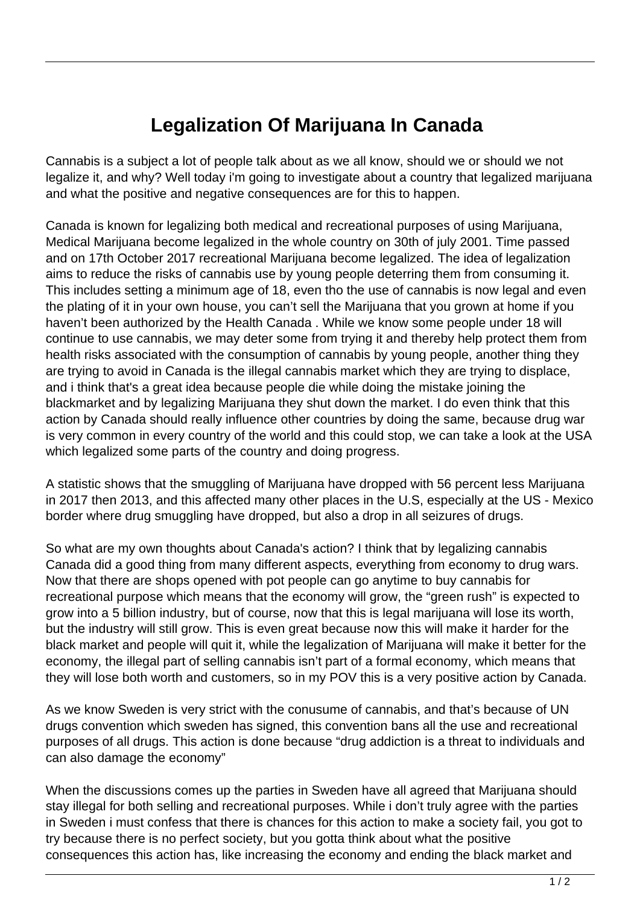## **Legalization Of Marijuana In Canada**

Cannabis is a subject a lot of people talk about as we all know, should we or should we not legalize it, and why? Well today i'm going to investigate about a country that legalized marijuana and what the positive and negative consequences are for this to happen.

Canada is known for legalizing both medical and recreational purposes of using Marijuana, Medical Marijuana become legalized in the whole country on 30th of july 2001. Time passed and on 17th October 2017 recreational Marijuana become legalized. The idea of legalization aims to reduce the risks of cannabis use by young people deterring them from consuming it. This includes setting a minimum age of 18, even tho the use of cannabis is now legal and even the plating of it in your own house, you can't sell the Marijuana that you grown at home if you haven't been authorized by the Health Canada . While we know some people under 18 will continue to use cannabis, we may deter some from trying it and thereby help protect them from health risks associated with the consumption of cannabis by young people, another thing they are trying to avoid in Canada is the illegal cannabis market which they are trying to displace, and i think that's a great idea because people die while doing the mistake joining the blackmarket and by legalizing Marijuana they shut down the market. I do even think that this action by Canada should really influence other countries by doing the same, because drug war is very common in every country of the world and this could stop, we can take a look at the USA which legalized some parts of the country and doing progress.

A statistic shows that the smuggling of Marijuana have dropped with 56 percent less Marijuana in 2017 then 2013, and this affected many other places in the U.S, especially at the US - Mexico border where drug smuggling have dropped, but also a drop in all seizures of drugs.

So what are my own thoughts about Canada's action? I think that by legalizing cannabis Canada did a good thing from many different aspects, everything from economy to drug wars. Now that there are shops opened with pot people can go anytime to buy cannabis for recreational purpose which means that the economy will grow, the "green rush" is expected to grow into a 5 billion industry, but of course, now that this is legal marijuana will lose its worth, but the industry will still grow. This is even great because now this will make it harder for the black market and people will quit it, while the legalization of Marijuana will make it better for the economy, the illegal part of selling cannabis isn't part of a formal economy, which means that they will lose both worth and customers, so in my POV this is a very positive action by Canada.

As we know Sweden is very strict with the conusume of cannabis, and that's because of UN drugs convention which sweden has signed, this convention bans all the use and recreational purposes of all drugs. This action is done because "drug addiction is a threat to individuals and can also damage the economy"

When the discussions comes up the parties in Sweden have all agreed that Marijuana should stay illegal for both selling and recreational purposes. While i don't truly agree with the parties in Sweden i must confess that there is chances for this action to make a society fail, you got to try because there is no perfect society, but you gotta think about what the positive consequences this action has, like increasing the economy and ending the black market and